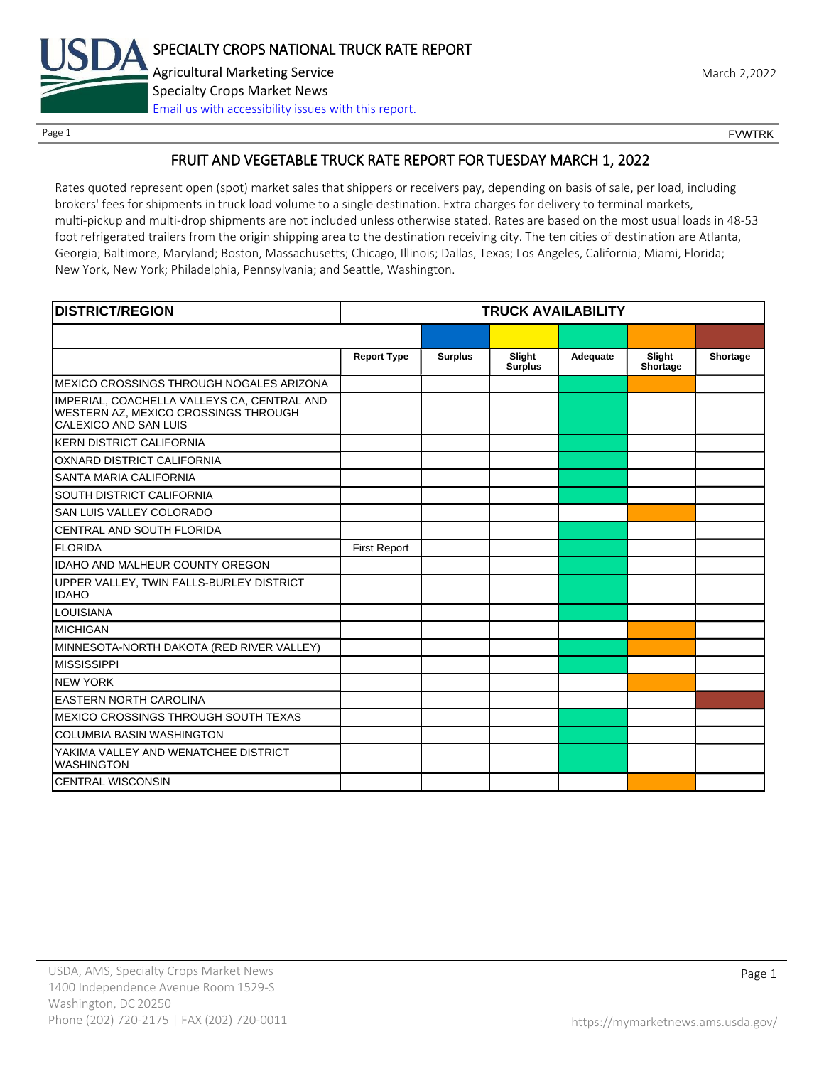

Page 1 FOUNTRK CONTROL CONTROL CONTROL CONTROL CONTROL CONTROL CONTROL CONTROL CONTROL CONTROL CONTROL CONTROL CONTROL CONTROL CONTROL CONTROL CONTROL CONTROL CONTROL CONTROL CONTROL CONTROL CONTROL CONTROL CONTROL CONTROL

# FRUIT AND VEGETABLE TRUCK RATE REPORT FOR TUESDAY MARCH 1, 2022

Rates quoted represent open (spot) market sales that shippers or receivers pay, depending on basis of sale, per load, including brokers' fees for shipments in truck load volume to a single destination. Extra charges for delivery to terminal markets, multi-pickup and multi-drop shipments are not included unless otherwise stated. Rates are based on the most usual loads in 48-53 foot refrigerated trailers from the origin shipping area to the destination receiving city. The ten cities of destination are Atlanta, Georgia; Baltimore, Maryland; Boston, Massachusetts; Chicago, Illinois; Dallas, Texas; Los Angeles, California; Miami, Florida; New York, New York; Philadelphia, Pennsylvania; and Seattle, Washington.

| <b>DISTRICT/REGION</b>                                                                                       |                     |                | <b>TRUCK AVAILABILITY</b> |          |                    |          |
|--------------------------------------------------------------------------------------------------------------|---------------------|----------------|---------------------------|----------|--------------------|----------|
|                                                                                                              |                     |                |                           |          |                    |          |
|                                                                                                              | <b>Report Type</b>  | <b>Surplus</b> | Slight<br><b>Surplus</b>  | Adequate | Slight<br>Shortage | Shortage |
| IMEXICO CROSSINGS THROUGH NOGALES ARIZONA                                                                    |                     |                |                           |          |                    |          |
| IMPERIAL, COACHELLA VALLEYS CA, CENTRAL AND<br>WESTERN AZ, MEXICO CROSSINGS THROUGH<br>CALEXICO AND SAN LUIS |                     |                |                           |          |                    |          |
| IKERN DISTRICT CALIFORNIA                                                                                    |                     |                |                           |          |                    |          |
| OXNARD DISTRICT CALIFORNIA                                                                                   |                     |                |                           |          |                    |          |
| <b>SANTA MARIA CALIFORNIA</b>                                                                                |                     |                |                           |          |                    |          |
| <b>SOUTH DISTRICT CALIFORNIA</b>                                                                             |                     |                |                           |          |                    |          |
| SAN LUIS VALLEY COLORADO                                                                                     |                     |                |                           |          |                    |          |
| CENTRAL AND SOUTH FLORIDA                                                                                    |                     |                |                           |          |                    |          |
| <b>FLORIDA</b>                                                                                               | <b>First Report</b> |                |                           |          |                    |          |
| <b>IDAHO AND MALHEUR COUNTY OREGON</b>                                                                       |                     |                |                           |          |                    |          |
| UPPER VALLEY, TWIN FALLS-BURLEY DISTRICT<br><b>IDAHO</b>                                                     |                     |                |                           |          |                    |          |
| <b>LOUISIANA</b>                                                                                             |                     |                |                           |          |                    |          |
| <b>MICHIGAN</b>                                                                                              |                     |                |                           |          |                    |          |
| MINNESOTA-NORTH DAKOTA (RED RIVER VALLEY)                                                                    |                     |                |                           |          |                    |          |
| <b>MISSISSIPPI</b>                                                                                           |                     |                |                           |          |                    |          |
| <b>NEW YORK</b>                                                                                              |                     |                |                           |          |                    |          |
| <b>EASTERN NORTH CAROLINA</b>                                                                                |                     |                |                           |          |                    |          |
| <b>MEXICO CROSSINGS THROUGH SOUTH TEXAS</b>                                                                  |                     |                |                           |          |                    |          |
| <b>COLUMBIA BASIN WASHINGTON</b>                                                                             |                     |                |                           |          |                    |          |
| YAKIMA VALLEY AND WENATCHEE DISTRICT<br><b>WASHINGTON</b>                                                    |                     |                |                           |          |                    |          |
| <b>CENTRAL WISCONSIN</b>                                                                                     |                     |                |                           |          |                    |          |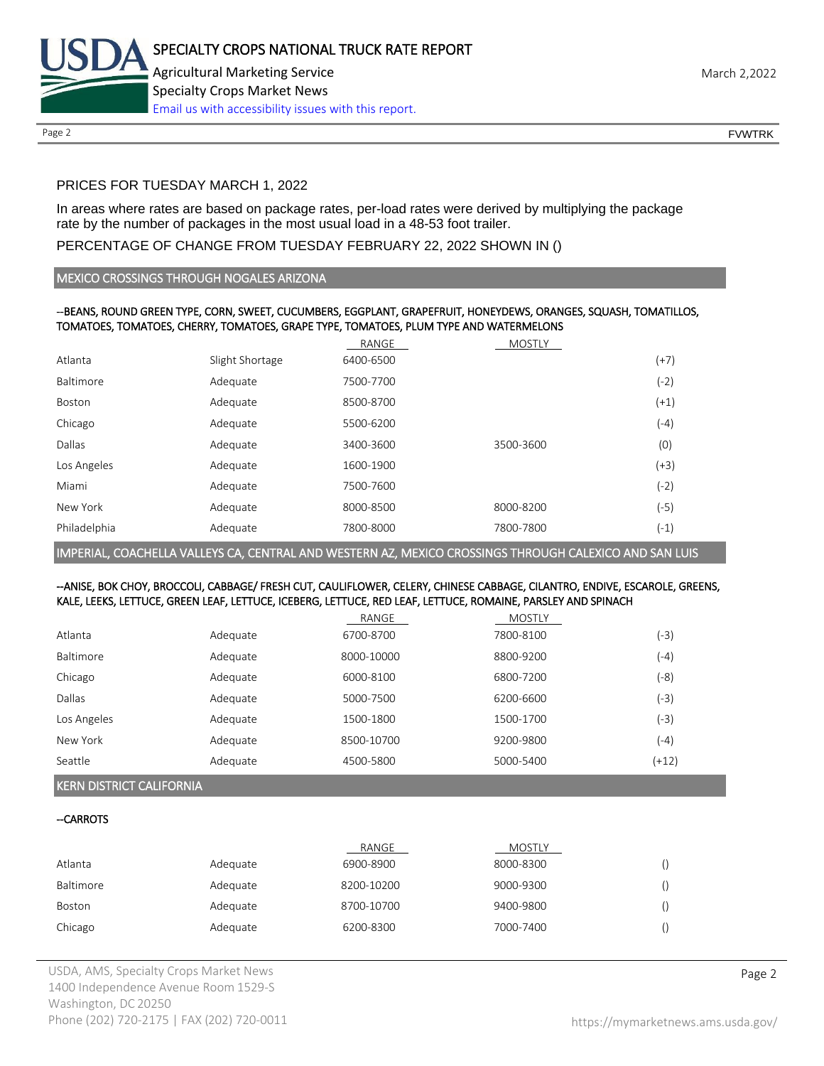

# PRICES FOR TUESDAY MARCH 1, 2022

In areas where rates are based on package rates, per-load rates were derived by multiplying the package rate by the number of packages in the most usual load in a 48-53 foot trailer.

# PERCENTAGE OF CHANGE FROM TUESDAY FEBRUARY 22, 2022 SHOWN IN ()

#### MEXICO CROSSINGS THROUGH NOGALES ARIZONA

#### --BEANS, ROUND GREEN TYPE, CORN, SWEET, CUCUMBERS, EGGPLANT, GRAPEFRUIT, HONEYDEWS, ORANGES, SQUASH, TOMATILLOS, TOMATOES, TOMATOES, CHERRY, TOMATOES, GRAPE TYPE, TOMATOES, PLUM TYPE AND WATERMELONS

|                 | RANGE     | <b>MOSTLY</b> |        |
|-----------------|-----------|---------------|--------|
| Slight Shortage | 6400-6500 |               | $(+7)$ |
| Adequate        | 7500-7700 |               | (-2)   |
| Adequate        | 8500-8700 |               | $(+1)$ |
| Adequate        | 5500-6200 |               | $(-4)$ |
| Adequate        | 3400-3600 | 3500-3600     | (0)    |
| Adequate        | 1600-1900 |               | $(+3)$ |
| Adequate        | 7500-7600 |               | $(-2)$ |
| Adequate        | 8000-8500 | 8000-8200     | $(-5)$ |
| Adequate        | 7800-8000 | 7800-7800     | $(-1)$ |
|                 |           |               |        |

IMPERIAL, COACHELLA VALLEYS CA, CENTRAL AND WESTERN AZ, MEXICO CROSSINGS THROUGH CALEXICO AND SAN LUIS

#### --ANISE, BOK CHOY, BROCCOLI, CABBAGE/ FRESH CUT, CAULIFLOWER, CELERY, CHINESE CABBAGE, CILANTRO, ENDIVE, ESCAROLE, GREENS, KALE, LEEKS, LETTUCE, GREEN LEAF, LETTUCE, ICEBERG, LETTUCE, RED LEAF, LETTUCE, ROMAINE, PARSLEY AND SPINACH

|                  |          | RANGE      | MOSTLY    |         |
|------------------|----------|------------|-----------|---------|
| Atlanta          | Adequate | 6700-8700  | 7800-8100 | $(-3)$  |
| <b>Baltimore</b> | Adequate | 8000-10000 | 8800-9200 | $(-4)$  |
| Chicago          | Adequate | 6000-8100  | 6800-7200 | (-8)    |
| Dallas           | Adequate | 5000-7500  | 6200-6600 | $(-3)$  |
| Los Angeles      | Adequate | 1500-1800  | 1500-1700 | $(-3)$  |
| New York         | Adequate | 8500-10700 | 9200-9800 | $(-4)$  |
| Seattle          | Adequate | 4500-5800  | 5000-5400 | $(+12)$ |

# KERN DISTRICT CALIFORNIA

#### --CARROTS

|           |          | RANGE      | <b>MOSTLY</b> |  |
|-----------|----------|------------|---------------|--|
| Atlanta   | Adequate | 6900-8900  | 8000-8300     |  |
| Baltimore | Adequate | 8200-10200 | 9000-9300     |  |
| Boston    | Adequate | 8700-10700 | 9400-9800     |  |
| Chicago   | Adequate | 6200-8300  | 7000-7400     |  |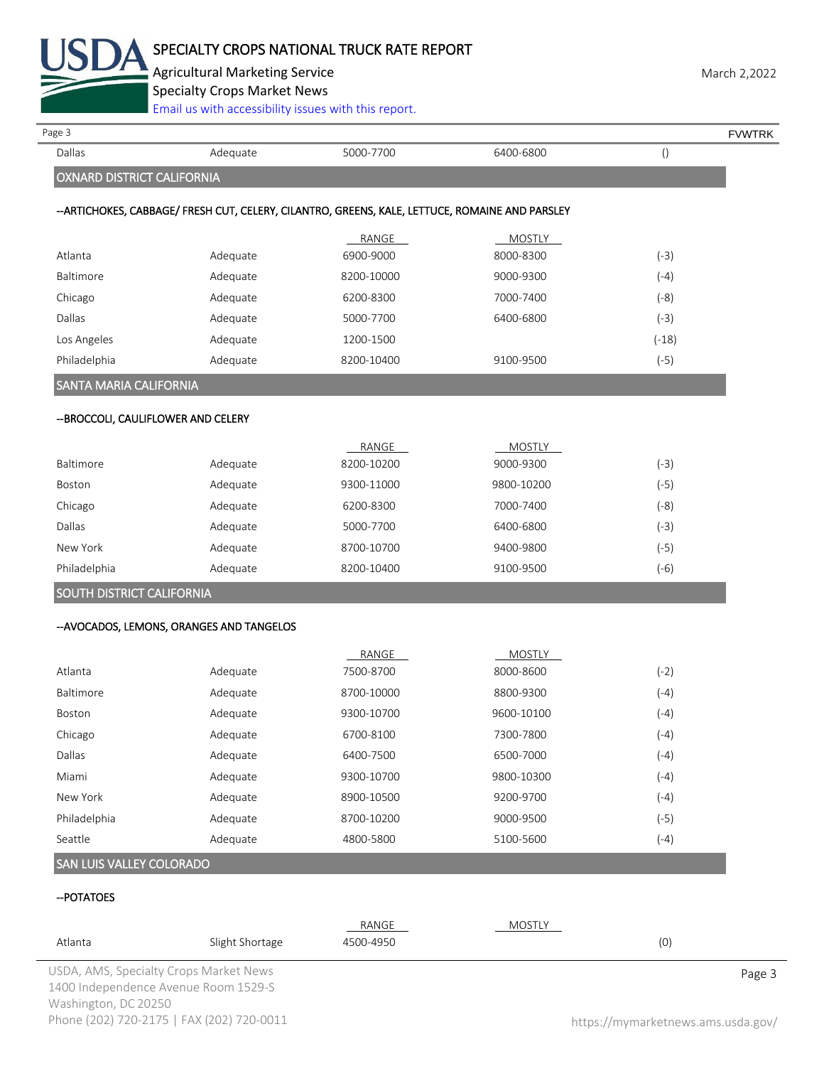

Agricultural Marketing Service **March 2,2022** March 2,2022

Specialty Crops Market News

[Email us with accessibility issues with this report.](mailto:mars@ams.usda.gov?subject=508%20Inquiry/Report)

| Page 3                              |                                           |                                                                                                |               |                  | <b>FVWTRK</b> |
|-------------------------------------|-------------------------------------------|------------------------------------------------------------------------------------------------|---------------|------------------|---------------|
| Dallas                              | Adequate                                  | 5000-7700                                                                                      | 6400-6800     | $\left( \right)$ |               |
| <b>OXNARD DISTRICT CALIFORNIA</b>   |                                           |                                                                                                |               |                  |               |
|                                     |                                           | --ARTICHOKES, CABBAGE/ FRESH CUT, CELERY, CILANTRO, GREENS, KALE, LETTUCE, ROMAINE AND PARSLEY |               |                  |               |
|                                     |                                           | RANGE                                                                                          | <b>MOSTLY</b> |                  |               |
| Atlanta                             | Adequate                                  | 6900-9000                                                                                      | 8000-8300     | $(-3)$           |               |
| Baltimore                           | Adequate                                  | 8200-10000                                                                                     | 9000-9300     | $(-4)$           |               |
| Chicago                             | Adequate                                  | 6200-8300                                                                                      | 7000-7400     | $(-8)$           |               |
| Dallas                              | Adequate                                  | 5000-7700                                                                                      | 6400-6800     | $(-3)$           |               |
| Los Angeles                         | Adequate                                  | 1200-1500                                                                                      |               | $(-18)$          |               |
| Philadelphia                        | Adequate                                  | 8200-10400                                                                                     | 9100-9500     | $(-5)$           |               |
| SANTA MARIA CALIFORNIA              |                                           |                                                                                                |               |                  |               |
| -- BROCCOLI, CAULIFLOWER AND CELERY |                                           |                                                                                                |               |                  |               |
|                                     |                                           | RANGE                                                                                          | <b>MOSTLY</b> |                  |               |
| Baltimore                           | Adequate                                  | 8200-10200                                                                                     | 9000-9300     | $(-3)$           |               |
| Boston                              | Adequate                                  | 9300-11000                                                                                     | 9800-10200    | $(-5)$           |               |
| Chicago                             | Adequate                                  | 6200-8300                                                                                      | 7000-7400     | $(-8)$           |               |
| Dallas                              | Adequate                                  | 5000-7700                                                                                      | 6400-6800     | $(-3)$           |               |
| New York                            | Adequate                                  | 8700-10700                                                                                     | 9400-9800     | $(-5)$           |               |
| Philadelphia                        | Adequate                                  | 8200-10400                                                                                     | 9100-9500     | $(-6)$           |               |
| SOUTH DISTRICT CALIFORNIA           |                                           |                                                                                                |               |                  |               |
|                                     | -- AVOCADOS, LEMONS, ORANGES AND TANGELOS |                                                                                                |               |                  |               |
|                                     |                                           | RANGE                                                                                          | <b>MOSTLY</b> |                  |               |
| Atlanta                             | Adequate                                  | 7500-8700                                                                                      | 8000-8600     | $(-2)$           |               |
| Baltimore                           | Adequate                                  | 8700-10000                                                                                     | 8800-9300     | $(-4)$           |               |
| Boston                              | Adequate                                  | 9300-10700                                                                                     | 9600-10100    | $(-4)$           |               |
| Chicago                             | Adequate                                  | 6700-8100                                                                                      | 7300-7800     | $(-4)$           |               |
| Dallas                              | Adequate                                  | 6400-7500                                                                                      | 6500-7000     | $(-4)$           |               |
| Miami                               | Adequate                                  | 9300-10700                                                                                     | 9800-10300    | $(-4)$           |               |
| New York                            | Adequate                                  | 8900-10500                                                                                     | 9200-9700     | $(-4)$           |               |
| Philadelphia                        | Adequate                                  | 8700-10200                                                                                     | 9000-9500     | $(-5)$           |               |
| Seattle                             | Adequate                                  | 4800-5800                                                                                      | 5100-5600     | $(-4)$           |               |
| SAN LUIS VALLEY COLORADO            |                                           |                                                                                                |               |                  |               |
| -- POTATOES                         |                                           |                                                                                                |               |                  |               |
|                                     |                                           |                                                                                                |               |                  |               |

| Atlanta              | Slight Shortage                        | RANGE<br>4500-4950 | <b>MOSTLY</b> | (0) |        |
|----------------------|----------------------------------------|--------------------|---------------|-----|--------|
|                      | USDA, AMS, Specialty Crops Market News |                    |               |     | Page 3 |
|                      | 1400 Independence Avenue Room 1529-S   |                    |               |     |        |
| Washington, DC 20250 |                                        |                    |               |     |        |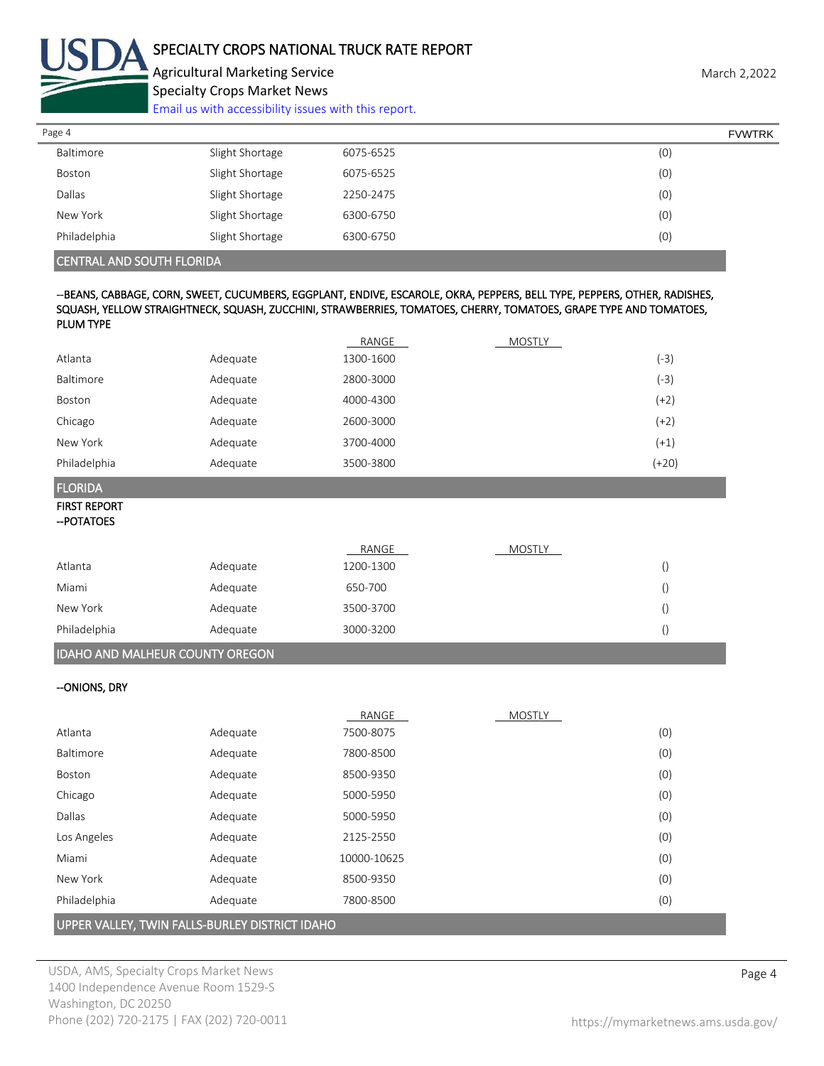

Agricultural Marketing Service **March 2,2022** March 2,2022 Specialty Crops Market News

[Email us with accessibility issues with this report.](mailto:mars@ams.usda.gov?subject=508%20Inquiry/Report)

| Page 4       |                 |           | <b>FVWTRK</b> |
|--------------|-----------------|-----------|---------------|
| Baltimore    | Slight Shortage | 6075-6525 | (0)           |
| Boston       | Slight Shortage | 6075-6525 | (0)           |
| Dallas       | Slight Shortage | 2250-2475 | (0)           |
| New York     | Slight Shortage | 6300-6750 | (0)           |
| Philadelphia | Slight Shortage | 6300-6750 | (0)           |
|              |                 |           |               |

CENTRAL AND SOUTH FLORIDA

#### --BEANS, CABBAGE, CORN, SWEET, CUCUMBERS, EGGPLANT, ENDIVE, ESCAROLE, OKRA, PEPPERS, BELL TYPE, PEPPERS, OTHER, RADISHES, SQUASH, YELLOW STRAIGHTNECK, SQUASH, ZUCCHINI, STRAWBERRIES, TOMATOES, CHERRY, TOMATOES, GRAPE TYPE AND TOMATOES, PLUM TYPE

|                                    |          | RANGE              | <b>MOSTLY</b> |                 |
|------------------------------------|----------|--------------------|---------------|-----------------|
| Atlanta                            | Adequate | 1300-1600          |               | $(-3)$          |
| <b>Baltimore</b>                   | Adequate | 2800-3000          |               | $(-3)$          |
| Boston                             | Adequate | 4000-4300          |               | $(+2)$          |
| Chicago                            | Adequate | 2600-3000          |               | $(+2)$          |
| New York                           | Adequate | 3700-4000          |               | $(+1)$          |
| Philadelphia                       | Adequate | 3500-3800          |               | $(+20)$         |
| <b>FLORIDA</b>                     |          |                    |               |                 |
| <b>FIRST REPORT</b><br>-- POTATOES |          |                    |               |                 |
| Atlanta                            | Adequate | RANGE<br>1200-1300 | <b>MOSTLY</b> | $\left(\right)$ |
|                                    |          |                    |               |                 |

| <b>IDAHO AND MALHEUR COUNTY OREGON</b> |          |           |  |  |
|----------------------------------------|----------|-----------|--|--|
| Philadelphia                           | Adequate | 3000-3200 |  |  |
| New York                               | Adequate | 3500-3700 |  |  |
| Miami                                  | Adequate | 650-700   |  |  |

# --ONIONS, DRY

|                                                |          | RANGE       | <b>MOSTLY</b> |     |
|------------------------------------------------|----------|-------------|---------------|-----|
| Atlanta                                        | Adequate | 7500-8075   |               | (0) |
| Baltimore                                      | Adequate | 7800-8500   |               | (0) |
| Boston                                         | Adequate | 8500-9350   |               | (0) |
| Chicago                                        | Adequate | 5000-5950   |               | (0) |
| Dallas                                         | Adequate | 5000-5950   |               | (0) |
| Los Angeles                                    | Adequate | 2125-2550   |               | (0) |
| Miami                                          | Adequate | 10000-10625 |               | (0) |
| New York                                       | Adequate | 8500-9350   |               | (0) |
| Philadelphia                                   | Adequate | 7800-8500   |               | (0) |
| UPPER VALLEY, TWIN FALLS-BURLEY DISTRICT IDAHO |          |             |               |     |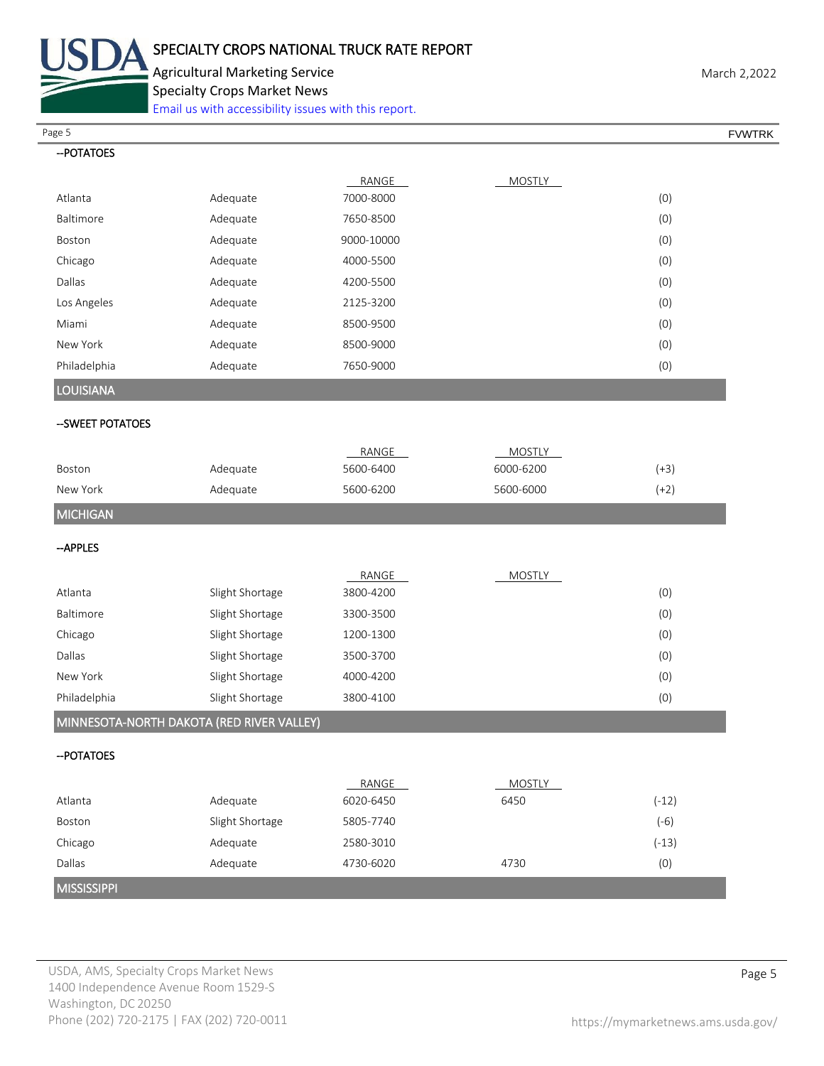

Agricultural Marketing Service **March 2,2022** March 2,2022 Specialty Crops Market News

[Email us with accessibility issues with this report.](mailto:mars@ams.usda.gov?subject=508%20Inquiry/Report)

Page 5 FOUNTRK And the set of the set of the set of the set of the set of the set of the set of the set of the set of the set of the set of the set of the set of the set of the set of the set of the set of the set of the s

| -- POTATOES                               |                 |            |               |         |
|-------------------------------------------|-----------------|------------|---------------|---------|
|                                           |                 | RANGE      | <b>MOSTLY</b> |         |
| Atlanta                                   | Adequate        | 7000-8000  |               | (0)     |
| Baltimore                                 | Adequate        | 7650-8500  |               | (0)     |
| Boston                                    | Adequate        | 9000-10000 |               | (0)     |
| Chicago                                   | Adequate        | 4000-5500  |               | (0)     |
| Dallas                                    | Adequate        | 4200-5500  |               | (0)     |
| Los Angeles                               | Adequate        | 2125-3200  |               | (0)     |
| Miami                                     | Adequate        | 8500-9500  |               | (0)     |
| New York                                  | Adequate        | 8500-9000  |               | (0)     |
| Philadelphia                              | Adequate        | 7650-9000  |               | (0)     |
| <b>LOUISIANA</b>                          |                 |            |               |         |
| --SWEET POTATOES                          |                 |            |               |         |
|                                           |                 | RANGE      | <b>MOSTLY</b> |         |
| Boston                                    | Adequate        | 5600-6400  | 6000-6200     | $(+3)$  |
| New York                                  | Adequate        | 5600-6200  | 5600-6000     | $(+2)$  |
| <b>MICHIGAN</b>                           |                 |            |               |         |
| --APPLES                                  |                 |            |               |         |
|                                           |                 | RANGE      | <b>MOSTLY</b> |         |
| Atlanta                                   | Slight Shortage | 3800-4200  |               | (0)     |
| Baltimore                                 | Slight Shortage | 3300-3500  |               | (0)     |
| Chicago                                   | Slight Shortage | 1200-1300  |               | (0)     |
| Dallas                                    | Slight Shortage | 3500-3700  |               | (0)     |
| New York                                  | Slight Shortage | 4000-4200  |               | (0)     |
| Philadelphia                              | Slight Shortage | 3800-4100  |               | (0)     |
| MINNESOTA-NORTH DAKOTA (RED RIVER VALLEY) |                 |            |               |         |
| -- POTATOES                               |                 |            |               |         |
|                                           |                 | RANGE      | <b>MOSTLY</b> |         |
| Atlanta                                   | Adequate        | 6020-6450  | 6450          | $(-12)$ |
| Boston                                    | Slight Shortage | 5805-7740  |               | $(-6)$  |
| Chicago                                   | Adequate        | 2580-3010  |               | $(-13)$ |
| Dallas                                    | Adequate        | 4730-6020  | 4730          | (0)     |
| <b>MISSISSIPPI</b>                        |                 |            |               |         |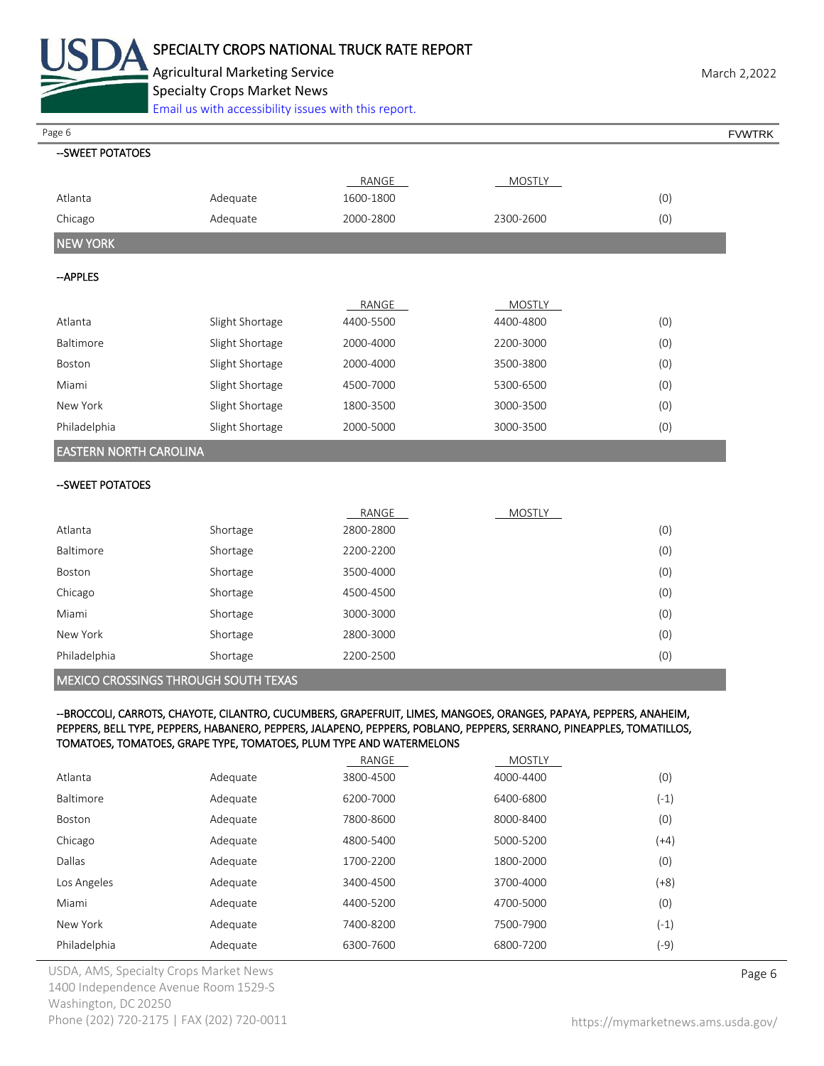

Agricultural Marketing Service **March 2,2022** March 2,2022 Specialty Crops Market News

[Email us with accessibility issues with this report.](mailto:mars@ams.usda.gov?subject=508%20Inquiry/Report)

Page 6 FVWTRK

| --SWEET POTATOES              |                 |           |               |     |
|-------------------------------|-----------------|-----------|---------------|-----|
|                               |                 | RANGE     | MOSTLY        |     |
| Atlanta                       | Adequate        | 1600-1800 |               | (0) |
| Chicago                       | Adequate        | 2000-2800 | 2300-2600     | (0) |
| <b>NEW YORK</b>               |                 |           |               |     |
| --APPLES                      |                 |           |               |     |
|                               |                 | RANGE     | <b>MOSTLY</b> |     |
| Atlanta                       | Slight Shortage | 4400-5500 | 4400-4800     | (0) |
| Baltimore                     | Slight Shortage | 2000-4000 | 2200-3000     | (0) |
| Boston                        | Slight Shortage | 2000-4000 | 3500-3800     | (0) |
| Miami                         | Slight Shortage | 4500-7000 | 5300-6500     | (0) |
| New York                      | Slight Shortage | 1800-3500 | 3000-3500     | (0) |
| Philadelphia                  | Slight Shortage | 2000-5000 | 3000-3500     | (0) |
| <b>EASTERN NORTH CAROLINA</b> |                 |           |               |     |
|                               |                 |           |               |     |

#### --SWEET POTATOES

|              |          | RANGE     | <b>MOSTLY</b> |     |
|--------------|----------|-----------|---------------|-----|
| Atlanta      | Shortage | 2800-2800 |               | (0) |
| Baltimore    | Shortage | 2200-2200 |               | (0) |
| Boston       | Shortage | 3500-4000 |               | (0) |
| Chicago      | Shortage | 4500-4500 |               | (0) |
| Miami        | Shortage | 3000-3000 |               | (0) |
| New York     | Shortage | 2800-3000 |               | (0) |
| Philadelphia | Shortage | 2200-2500 |               | (0) |

# MEXICO CROSSINGS THROUGH SOUTH TEXAS

# --BROCCOLI, CARROTS, CHAYOTE, CILANTRO, CUCUMBERS, GRAPEFRUIT, LIMES, MANGOES, ORANGES, PAPAYA, PEPPERS, ANAHEIM, PEPPERS, BELL TYPE, PEPPERS, HABANERO, PEPPERS, JALAPENO, PEPPERS, POBLANO, PEPPERS, SERRANO, PINEAPPLES, TOMATILLOS, TOMATOES, TOMATOES, GRAPE TYPE, TOMATOES, PLUM TYPE AND WATERMELONS

|              |          | RANGE     | <b>MOSTLY</b> |        |
|--------------|----------|-----------|---------------|--------|
| Atlanta      | Adequate | 3800-4500 | 4000-4400     | (0)    |
| Baltimore    | Adequate | 6200-7000 | 6400-6800     | $(-1)$ |
| Boston       | Adequate | 7800-8600 | 8000-8400     | (0)    |
| Chicago      | Adequate | 4800-5400 | 5000-5200     | (+4)   |
| Dallas       | Adequate | 1700-2200 | 1800-2000     | (0)    |
| Los Angeles  | Adequate | 3400-4500 | 3700-4000     | $(+8)$ |
| Miami        | Adequate | 4400-5200 | 4700-5000     | (0)    |
| New York     | Adequate | 7400-8200 | 7500-7900     | $(-1)$ |
| Philadelphia | Adequate | 6300-7600 | 6800-7200     | (-9)   |

USDA, AMS, Specialty Crops Market News **Page 6** 1400 Independence Avenue Room 1529-S Washington, DC 20250 Phone (202) 720-2175 | FAX (202) 720-0011 <https://mymarketnews.ams.usda.gov/>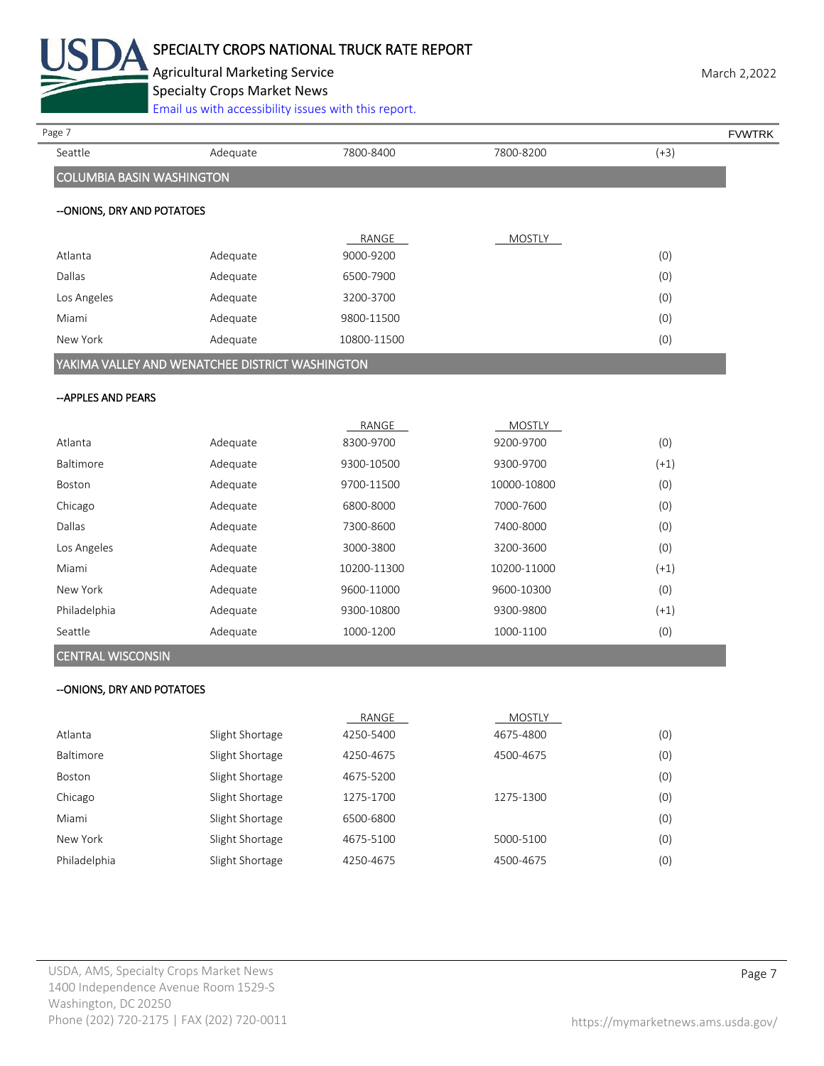

# SPECIALTY CROPS NATIONAL TRUCK RATE REPORT

Agricultural Marketing Service **March 2,2022** March 2,2022

Specialty Crops Market News

[Email us with accessibility issues with this report.](mailto:mars@ams.usda.gov?subject=508%20Inquiry/Report)

| Page 7                           |                                                 |             |               |        |               |
|----------------------------------|-------------------------------------------------|-------------|---------------|--------|---------------|
| Seattle                          | Adequate                                        | 7800-8400   | 7800-8200     | $(+3)$ | <b>FVWTRK</b> |
| <b>COLUMBIA BASIN WASHINGTON</b> |                                                 |             |               |        |               |
| -- ONIONS, DRY AND POTATOES      |                                                 |             |               |        |               |
|                                  |                                                 |             |               |        |               |
|                                  |                                                 | RANGE       | <b>MOSTLY</b> |        |               |
| Atlanta                          | Adequate                                        | 9000-9200   |               | (0)    |               |
| Dallas                           | Adequate                                        | 6500-7900   |               | (0)    |               |
| Los Angeles                      | Adequate                                        | 3200-3700   |               | (0)    |               |
| Miami                            | Adequate                                        | 9800-11500  |               | (0)    |               |
| New York                         | Adequate                                        | 10800-11500 |               | (0)    |               |
|                                  | YAKIMA VALLEY AND WENATCHEE DISTRICT WASHINGTON |             |               |        |               |
| -- APPLES AND PEARS              |                                                 |             |               |        |               |
|                                  |                                                 | RANGE       | MOSTLY        |        |               |
| Atlanta                          | Adequate                                        | 8300-9700   | 9200-9700     | (0)    |               |
| Baltimore                        | Adequate                                        | 9300-10500  | 9300-9700     | $(+1)$ |               |
| Boston                           | Adequate                                        | 9700-11500  | 10000-10800   | (0)    |               |
| Chicago                          | Adequate                                        | 6800-8000   | 7000-7600     | (0)    |               |
| Dallas                           | Adequate                                        | 7300-8600   | 7400-8000     | (0)    |               |
| Los Angeles                      | Adequate                                        | 3000-3800   | 3200-3600     | (0)    |               |
| Miami                            | Adequate                                        | 10200-11300 | 10200-11000   | $(+1)$ |               |
| New York                         | Adequate                                        | 9600-11000  | 9600-10300    | (0)    |               |
| Philadelphia                     | Adequate                                        | 9300-10800  | 9300-9800     | $(+1)$ |               |
| Seattle                          | Adequate                                        | 1000-1200   | 1000-1100     | (0)    |               |
| <b>CENTRAL WISCONSIN</b>         |                                                 |             |               |        |               |
| -- ONIONS, DRY AND POTATOES      |                                                 |             |               |        |               |
|                                  |                                                 | RANGE       | MOSTLY        |        |               |
| Atlanta                          | Slight Shortage                                 | 4250-5400   | 4675-4800     | (0)    |               |
| Baltimore                        | Slight Shortage                                 | 4250-4675   | 4500-4675     | (0)    |               |
| Boston                           | Slight Shortage                                 | 4675-5200   |               | (0)    |               |
| Chicago                          | Slight Shortage                                 | 1275-1700   | 1275-1300     | (0)    |               |

| Miami<br>Slight Shortage        | 6500-6800 |           | (0) |
|---------------------------------|-----------|-----------|-----|
| New York<br>Slight Shortage     | 4675-5100 | 5000-5100 | (0) |
| Philadelphia<br>Slight Shortage | 4250-4675 | 4500-4675 | (0) |